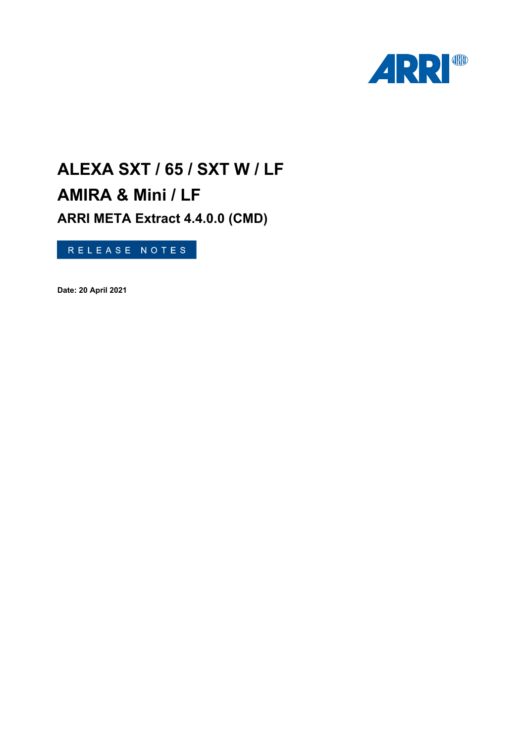

# **ALEXA SXT / 65 / SXT W / LF AMIRA & Mini / LF ARRI META Extract 4.4.0.0 (CMD)**

RELEASE NOTES

**Date: 20 April 2021**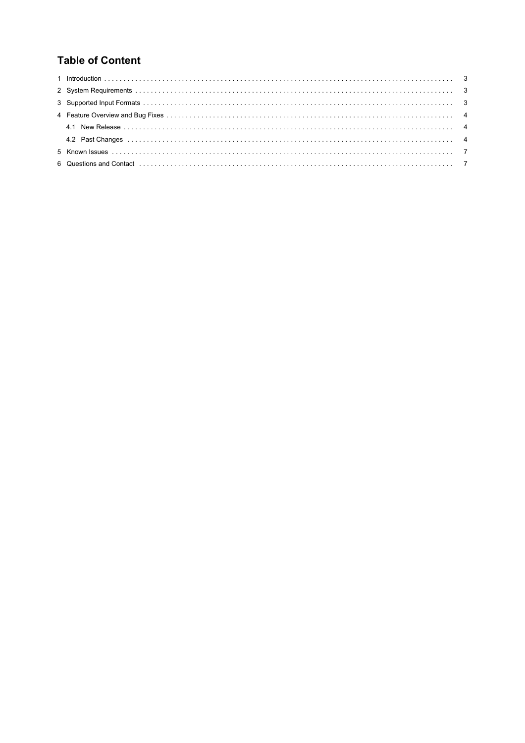# **Table of Content**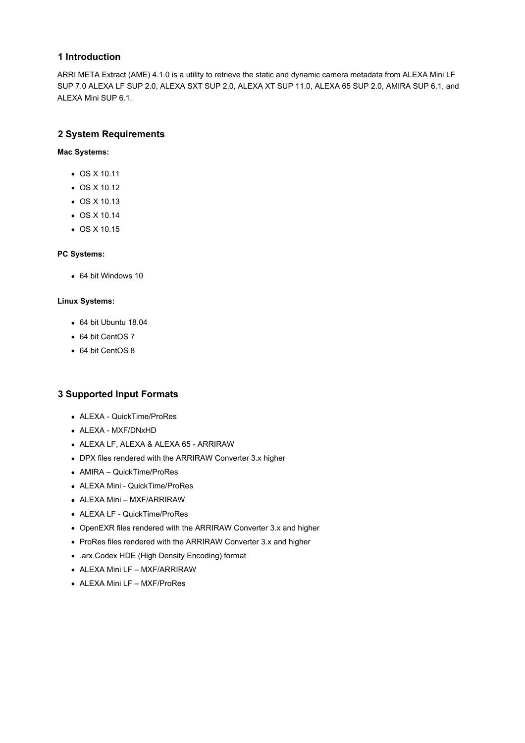#### <span id="page-2-0"></span>**1 Introduction**

ARRI META Extract (AME) 4.1.0 is a utility to retrieve the static and dynamic camera metadata from ALEXA Mini LF SUP 7.0 ALEXA LF SUP 2.0, ALEXA SXT SUP 2.0, ALEXA XT SUP 11.0, ALEXA 65 SUP 2.0, AMIRA SUP 6.1, and ALEXA Mini SUP 6.1.

#### **2 System Requirements**

#### **Mac Systems:**

- OS X 10.11
- OS X 10.12
- OS X 10.13
- OS X 10.14
- $\bullet$  OS X 10.15

#### **PC Systems:**

64 bit Windows 10

#### **Linux Systems:**

- 64 bit Ubuntu 18.04
- 64 bit CentOS 7
- 64 bit CentOS 8

#### **3 Supported Input Formats**

- ALEXA QuickTime/ProRes
- ALEXA MXF/DNxHD
- ALEXA LF, ALEXA & ALEXA 65 ARRIRAW
- DPX files rendered with the ARRIRAW Converter 3.x higher
- AMIRA QuickTime/ProRes
- ALEXA Mini QuickTime/ProRes
- ALEXA Mini MXF/ARRIRAW
- ALEXA LF QuickTime/ProRes
- OpenEXR files rendered with the ARRIRAW Converter 3.x and higher
- ProRes files rendered with the ARRIRAW Converter 3.x and higher
- .arx Codex HDE (High Density Encoding) format
- ALEXA Mini LF MXF/ARRIRAW
- ALEXA Mini LF MXF/ProRes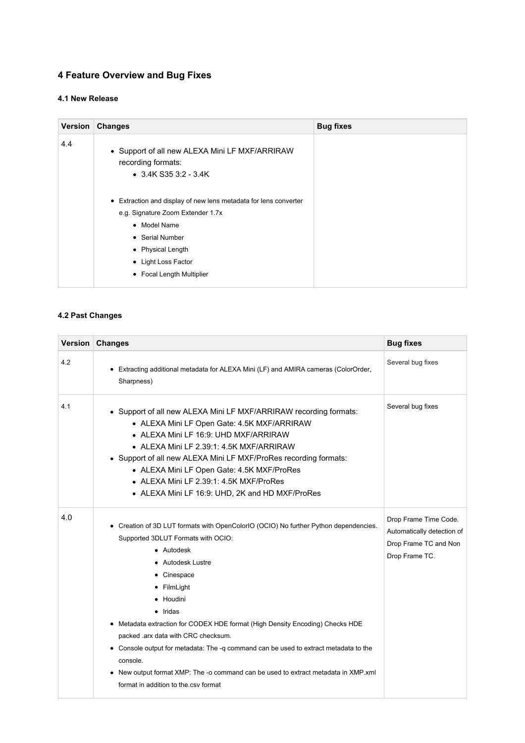# <span id="page-3-0"></span>**4 Feature Overview and Bug Fixes**

## **4.1 New Release**

| <b>Version</b> | <b>Changes</b>                                                                                                                                                                                                                                                                                                             | <b>Bug fixes</b> |
|----------------|----------------------------------------------------------------------------------------------------------------------------------------------------------------------------------------------------------------------------------------------------------------------------------------------------------------------------|------------------|
| 4.4            | • Support of all new ALEXA Mini LF MXF/ARRIRAW<br>recording formats:<br>$\bullet$ 3.4K S35 3:2 - 3.4K<br>• Extraction and display of new lens metadata for lens converter<br>e.g. Signature Zoom Extender 1.7x<br>• Model Name<br>• Serial Number<br>• Physical Length<br>• Light Loss Factor<br>• Focal Length Multiplier |                  |
|                |                                                                                                                                                                                                                                                                                                                            |                  |

## **4.2 Past Changes**

| Version | <b>Changes</b>                                                                                                                                                                                                                                                                                                                                                                                                                                                                                                                                                                           | <b>Bug fixes</b>                                                                               |
|---------|------------------------------------------------------------------------------------------------------------------------------------------------------------------------------------------------------------------------------------------------------------------------------------------------------------------------------------------------------------------------------------------------------------------------------------------------------------------------------------------------------------------------------------------------------------------------------------------|------------------------------------------------------------------------------------------------|
| 4.2     | • Extracting additional metadata for ALEXA Mini (LF) and AMIRA cameras (ColorOrder,<br>Sharpness)                                                                                                                                                                                                                                                                                                                                                                                                                                                                                        | Several bug fixes                                                                              |
| 4.1     | • Support of all new ALEXA Mini LF MXF/ARRIRAW recording formats:<br>• ALEXA Mini LF Open Gate: 4.5K MXF/ARRIRAW<br>• ALEXA Mini LF 16:9: UHD MXF/ARRIRAW<br>• ALEXA Mini LF 2.39:1: 4.5K MXF/ARRIRAW<br>• Support of all new ALEXA Mini LF MXF/ProRes recording formats:<br>• ALEXA Mini LF Open Gate: 4.5K MXF/ProRes<br>• ALEXA Mini LF 2.39:1: 4.5K MXF/ProRes<br>• ALEXA Mini LF 16:9: UHD, 2K and HD MXF/ProRes                                                                                                                                                                    | Several bug fixes                                                                              |
| 4.0     | • Creation of 3D LUT formats with OpenColorIO (OCIO) No further Python dependencies.<br>Supported 3DLUT Formats with OCIO:<br>$\bullet$ Autodesk<br>• Autodesk Lustre<br>• Cinespace<br>• FilmLight<br>• Houdini<br>$\bullet$ Iridas<br>Metadata extraction for CODEX HDE format (High Density Encoding) Checks HDE<br>packed .arx data with CRC checksum.<br>Console output for metadata: The -q command can be used to extract metadata to the<br>console.<br>New output format XMP: The -o command can be used to extract metadata in XMP.xml<br>format in addition to the csy format | Drop Frame Time Code.<br>Automatically detection of<br>Drop Frame TC and Non<br>Drop Frame TC. |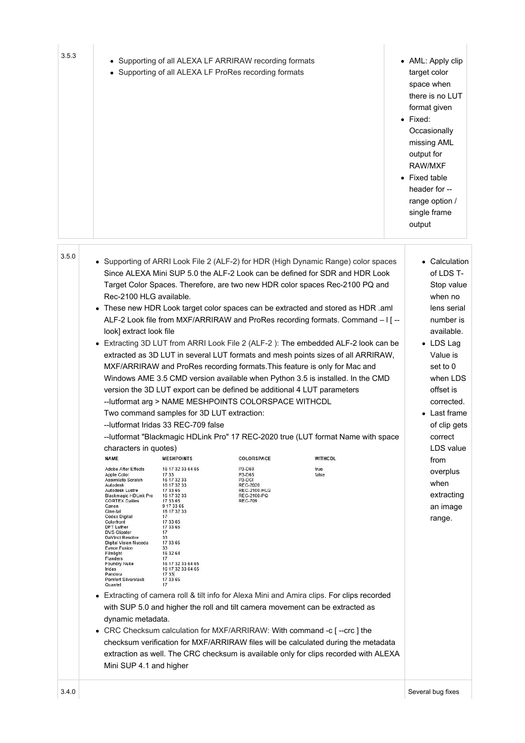| 3.5.3 | • Supporting of all ALEXA LF ARRIRAW recording formats<br>• Supporting of all ALEXA LF ProRes recording formats                                                                                                                                                                                                                                                                                                                                                                                                                                                                                                                                                                                                                                                                                                                                                                                                                                                                                                                                                                                                                                                                                                                                                                                                                                                                                                                                                                                                                                                                                                                                                                                                                                                                                                                                                                                                                                                                                                                                                                                                                                                                                                                                                                                                                                                                                                                                                                                                                               | • AML: Apply clip<br>target color<br>space when<br>there is no LUT<br>format given<br>• Fixed:<br>Occasionally<br>missing AML<br>output for<br>RAW/MXF<br>• Fixed table<br>header for --<br>range option /<br>single frame<br>output                                                            |
|-------|-----------------------------------------------------------------------------------------------------------------------------------------------------------------------------------------------------------------------------------------------------------------------------------------------------------------------------------------------------------------------------------------------------------------------------------------------------------------------------------------------------------------------------------------------------------------------------------------------------------------------------------------------------------------------------------------------------------------------------------------------------------------------------------------------------------------------------------------------------------------------------------------------------------------------------------------------------------------------------------------------------------------------------------------------------------------------------------------------------------------------------------------------------------------------------------------------------------------------------------------------------------------------------------------------------------------------------------------------------------------------------------------------------------------------------------------------------------------------------------------------------------------------------------------------------------------------------------------------------------------------------------------------------------------------------------------------------------------------------------------------------------------------------------------------------------------------------------------------------------------------------------------------------------------------------------------------------------------------------------------------------------------------------------------------------------------------------------------------------------------------------------------------------------------------------------------------------------------------------------------------------------------------------------------------------------------------------------------------------------------------------------------------------------------------------------------------------------------------------------------------------------------------------------------------|-------------------------------------------------------------------------------------------------------------------------------------------------------------------------------------------------------------------------------------------------------------------------------------------------|
| 3.5.0 | • Supporting of ARRI Look File 2 (ALF-2) for HDR (High Dynamic Range) color spaces<br>Since ALEXA Mini SUP 5.0 the ALF-2 Look can be defined for SDR and HDR Look<br>Target Color Spaces. Therefore, are two new HDR color spaces Rec-2100 PQ and<br>Rec-2100 HLG available.<br>These new HDR Look target color spaces can be extracted and stored as HDR .aml<br>ALF-2 Look file from MXF/ARRIRAW and ProRes recording formats. Command - I [ --<br>look] extract look file<br>• Extracting 3D LUT from ARRI Look File 2 (ALF-2): The embedded ALF-2 look can be<br>extracted as 3D LUT in several LUT formats and mesh points sizes of all ARRIRAW,<br>MXF/ARRIRAW and ProRes recording formats. This feature is only for Mac and<br>Windows AME 3.5 CMD version available when Python 3.5 is installed. In the CMD<br>version the 3D LUT export can be defined be additional 4 LUT parameters<br>-- lutformat arg > NAME MESHPOINTS COLORSPACE WITHCDL<br>Two command samples for 3D LUT extraction:<br>--lutformat Iridas 33 REC-709 false<br>-- lutformat "Blackmagic HDLink Pro" 17 REC-2020 true (LUT format Name with space<br>characters in quotes)<br><b>NAME</b><br><b>MESHPOINTS</b><br>COLORSPACE<br><b>WITHCDL</b><br><b>Adobe After Effects</b><br>16 17 32 33 64 65<br>P3-D60<br>true<br>Apple Color<br>P3-D65<br>false<br>17 33<br>Assimilate Scratch<br>P3-DCI<br>16 17 32 33<br>REC-2020<br>Autodesk<br>16 17 32 33<br>Autodesk Lustre<br>17 33 65<br>REC-2100-HLG<br>Blackmagic HDLink Pro<br>16 17 32 33<br>REC-2100-PQ<br><b>CORTEX Dailies</b><br><b>REC-709</b><br>17 33 65<br>9 17 33 65<br>Canon<br>Cine-tal<br>16 17 32 33<br><b>Codex Digital</b><br>17<br>Colorfront<br>17 33 65<br>17 33 65<br><b>DFT Luther</b><br><b>DVS Clipster</b><br>17<br>DaVinci Resolve<br>33<br>Digital Vision Nucoda<br>17 33 65<br>Eveon Fusion<br>33<br>Filmlight<br>16 32 64<br>Flanders<br>17<br>Foundry Nuke<br>16 17 32 33 64 65<br>Iridas<br>16 17 32 33 64 65<br>17 33<br>Pandora<br>Pomfort Silverstack<br>17 33 65<br>Quantel<br>17<br>• Extracting of camera roll & tilt info for Alexa Mini and Amira clips. For clips recorded<br>with SUP 5.0 and higher the roll and tilt camera movement can be extracted as<br>dynamic metadata.<br>CRC Checksum calculation for MXF/ARRIRAW: With command -c [--crc ] the<br>checksum verification for MXF/ARRIRAW files will be calculated during the metadata<br>extraction as well. The CRC checksum is available only for clips recorded with ALEXA<br>Mini SUP 4.1 and higher | • Calculation<br>of LDS T-<br>Stop value<br>when no<br>lens serial<br>number is<br>available.<br>• LDS Lag<br>Value is<br>set to 0<br>when LDS<br>offset is<br>corrected.<br>Last frame<br>of clip gets<br>correct<br>LDS value<br>from<br>overplus<br>when<br>extracting<br>an image<br>range. |
| 3.4.0 |                                                                                                                                                                                                                                                                                                                                                                                                                                                                                                                                                                                                                                                                                                                                                                                                                                                                                                                                                                                                                                                                                                                                                                                                                                                                                                                                                                                                                                                                                                                                                                                                                                                                                                                                                                                                                                                                                                                                                                                                                                                                                                                                                                                                                                                                                                                                                                                                                                                                                                                                               | Several bug fixes                                                                                                                                                                                                                                                                               |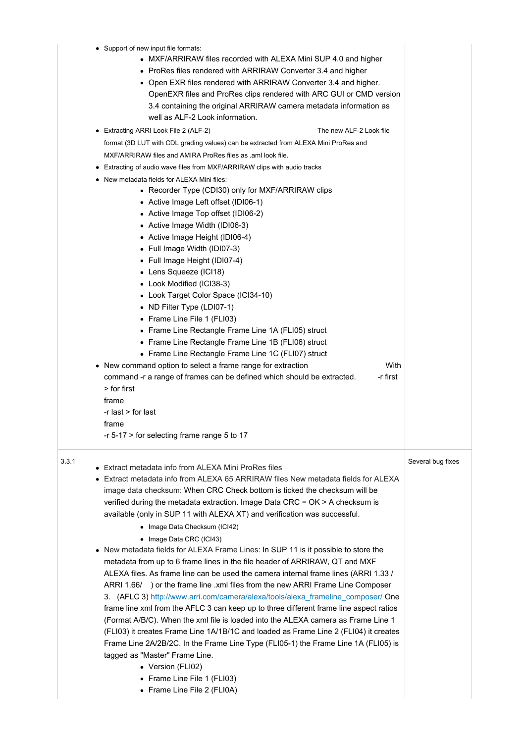|       | Support of new input file formats:<br>• MXF/ARRIRAW files recorded with ALEXA Mini SUP 4.0 and higher<br>• ProRes files rendered with ARRIRAW Converter 3.4 and higher<br>• Open EXR files rendered with ARRIRAW Converter 3.4 and higher.<br>OpenEXR files and ProRes clips rendered with ARC GUI or CMD version<br>3.4 containing the original ARRIRAW camera metadata information as<br>well as ALF-2 Look information.<br>Extracting ARRI Look File 2 (ALF-2)<br>The new ALF-2 Look file<br>format (3D LUT with CDL grading values) can be extracted from ALEXA Mini ProRes and<br>MXF/ARRIRAW files and AMIRA ProRes files as .aml look file.<br>Extracting of audio wave files from MXF/ARRIRAW clips with audio tracks<br>New metadata fields for ALEXA Mini files:<br>• Recorder Type (CDI30) only for MXF/ARRIRAW clips<br>• Active Image Left offset (IDI06-1)<br>• Active Image Top offset (IDI06-2)<br>• Active Image Width (IDI06-3)<br>• Active Image Height (IDI06-4)<br>• Full Image Width (IDI07-3)<br>• Full Image Height (IDI07-4)<br>• Lens Squeeze (ICI18)                                                                                                                                                                                                                                                                                     |                   |
|-------|---------------------------------------------------------------------------------------------------------------------------------------------------------------------------------------------------------------------------------------------------------------------------------------------------------------------------------------------------------------------------------------------------------------------------------------------------------------------------------------------------------------------------------------------------------------------------------------------------------------------------------------------------------------------------------------------------------------------------------------------------------------------------------------------------------------------------------------------------------------------------------------------------------------------------------------------------------------------------------------------------------------------------------------------------------------------------------------------------------------------------------------------------------------------------------------------------------------------------------------------------------------------------------------------------------------------------------------------------------------------|-------------------|
|       | • Look Modified (ICI38-3)<br>• Look Target Color Space (ICI34-10)<br>• ND Filter Type (LDI07-1)<br>• Frame Line File 1 (FLI03)<br>• Frame Line Rectangle Frame Line 1A (FLI05) struct<br>• Frame Line Rectangle Frame Line 1B (FLI06) struct<br>• Frame Line Rectangle Frame Line 1C (FLI07) struct<br>With<br>• New command option to select a frame range for extraction<br>-r first<br>command -r a range of frames can be defined which should be extracted.<br>> for first<br>frame<br>-r last > for last<br>frame<br>-r 5-17 > for selecting frame range 5 to 17                                                                                                                                                                                                                                                                                                                                                                                                                                                                                                                                                                                                                                                                                                                                                                                              |                   |
| 3.3.1 | • Extract metadata info from ALEXA Mini ProRes files<br>Extract metadata info from ALEXA 65 ARRIRAW files New metadata fields for ALEXA<br>image data checksum: When CRC Check bottom is ticked the checksum will be<br>verified during the metadata extraction. Image Data CRC = OK > A checksum is<br>available (only in SUP 11 with ALEXA XT) and verification was successful.<br>• Image Data Checksum (ICI42)<br>• Image Data CRC (ICI43)<br>• New metadata fields for ALEXA Frame Lines: In SUP 11 is it possible to store the<br>metadata from up to 6 frame lines in the file header of ARRIRAW, QT and MXF<br>ALEXA files. As frame line can be used the camera internal frame lines (ARRI 1.33 /<br>ARRI 1.66/ ) or the frame line .xml files from the new ARRI Frame Line Composer<br>3. (AFLC 3) http://www.arri.com/camera/alexa/tools/alexa_frameline_composer/ One<br>frame line xml from the AFLC 3 can keep up to three different frame line aspect ratios<br>(Format A/B/C). When the xml file is loaded into the ALEXA camera as Frame Line 1<br>(FLI03) it creates Frame Line 1A/1B/1C and loaded as Frame Line 2 (FLI04) it creates<br>Frame Line 2A/2B/2C. In the Frame Line Type (FLI05-1) the Frame Line 1A (FLI05) is<br>tagged as "Master" Frame Line.<br>• Version (FLI02)<br>• Frame Line File 1 (FLI03)<br>• Frame Line File 2 (FLI0A) | Several bug fixes |